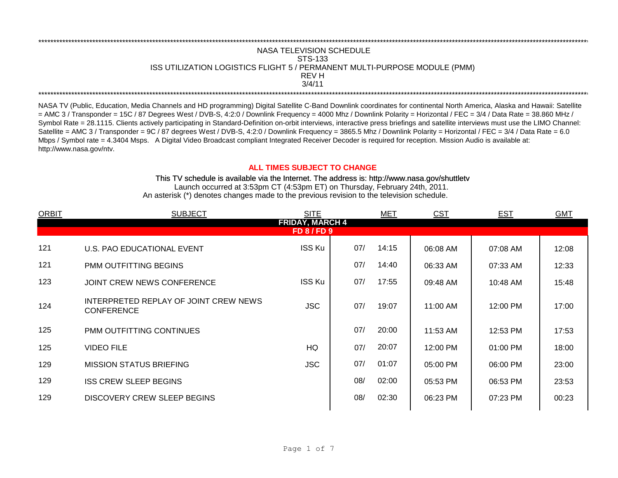## \*\*\*\*\*\*\*\*\*\*\*\*\*\*\*\*\*\*\*\*\*\*\*\*\*\*\*\*\*\*\*\*\*\*\*\*\*\*\*\*\*\*\*\*\*\*\*\*\*\*\*\*\*\*\*\*\*\*\*\*\*\*\*\*\*\*\*\*\*\*\*\*\*\*\*\*\*\*\*\*\*\*\*\*\*\*\*\*\*\*\*\*\*\*\*\*\*\*\*\*\*\*\*\*\*\*\*\*\*\*\*\*\*\*\*\*\*\*\*\*\*\*\*\*\*\*\*\*\*\*\*\*\*\*\*\*\*\*\*\*\*\*\*\*\*\*\*\*\*\*\*\*\*\*\*\*\*\*\*\*\*\*\*\*\*\*\*\*\*\*\*\*\*\*\*\*\*\*\*\*\*\*\*\*\* NASA TELEVISION SCHEDULE STS-133 ISS UTILIZATION LOGISTICS FLIGHT 5 / PERMANENT MULTI-PURPOSE MODULE (PMM) REV H \*\*\*\*\*\*\*\*\*\*\*\*\*\*\*\*\*\*\*\*\*\*\*\*\*\*\*\*\*\*\*\*\*\*\*\*\*\*\*\*\*\*\*\*\*\*\*\*\*\*\*\*\*\*\*\*\*\*\*\*\*\*\*\*\*\*\*\*\*\*\*\*\*\*\*\*\*\*\*\*\*\*\*\*\*\*\*\*\*\*\*\*\*\*\*\*\*\*\*\*\*\*\*\*\*\*\*\*\*\*\*\*\*\*\*\*\*\*\*\*\*\*\*\*\*\*\*\*\*\*\*\*\*\*\*\*\*\*\*\*\*\*\*\*\*\*\*\*\*\*\*\*\*\*\*\*\*\*\*\*\*\*\*\*\*\*\*\*\*\*\*\*\*\*\*\*\*\*\*\*\*\*\*\*\* 3/4/11

NASA TV (Public, Education, Media Channels and HD programming) Digital Satellite C-Band Downlink coordinates for continental North America, Alaska and Hawaii: Satellite  $=$  AMC 3 / Transponder = 15C / 87 Degrees West / DVB-S, 4:2:0 / Downlink Frequency = 4000 Mhz / Downlink Polarity = Horizontal / FEC = 3/4 / Data Rate = 38.860 MHz / Symbol Rate = 28.1115. Clients actively participating in Standard-Definition on-orbit interviews, interactive press briefings and satellite interviews must use the LIMO Channel: Satellite = AMC 3 / Transponder = 9C / 87 degrees West / DVB-S, 4:2:0 / Downlink Frequency = 3865.5 Mhz / Downlink Polarity = Horizontal / FEC = 3/4 / Data Rate = 6.0 Mbps / Symbol rate = 4.3404 Msps. A Digital Video Broadcast compliant Integrated Receiver Decoder is required for reception. Mission Audio is available at: http://www.nasa.gov/ntv.

## **ALL TIMES SUBJECT TO CHANGE**

Launch occurred at 3:53pm CT (4:53pm ET) on Thursday, February 24th, 2011. An asterisk (\*) denotes changes made to the previous revision to the television schedule. This TV schedule is available via the Internet. The address is: http://www.nasa.gov/shuttletv

| <b>ORBIT</b>                                 | <b>SUBJECT</b>                                             | <b>SITE</b>   |     | MET   | <b>CST</b> | <b>EST</b> | <b>GMT</b> |  |  |
|----------------------------------------------|------------------------------------------------------------|---------------|-----|-------|------------|------------|------------|--|--|
| <b>FRIDAY, MARCH 4</b><br><b>FD 8 / FD 9</b> |                                                            |               |     |       |            |            |            |  |  |
|                                              |                                                            |               |     |       |            |            |            |  |  |
| 121                                          | U.S. PAO EDUCATIONAL EVENT                                 | <b>ISS Ku</b> | 07/ | 14:15 | 06:08 AM   | 07:08 AM   | 12:08      |  |  |
| 121                                          | <b>PMM OUTFITTING BEGINS</b>                               |               | 07/ | 14:40 | 06:33 AM   | 07:33 AM   | 12:33      |  |  |
| 123                                          | JOINT CREW NEWS CONFERENCE                                 | <b>ISS Ku</b> | 07/ | 17:55 | 09:48 AM   | 10:48 AM   | 15:48      |  |  |
| 124                                          | INTERPRETED REPLAY OF JOINT CREW NEWS<br><b>CONFERENCE</b> | <b>JSC</b>    | 07/ | 19:07 | 11:00 AM   | 12:00 PM   | 17:00      |  |  |
| 125                                          | PMM OUTFITTING CONTINUES                                   |               | 07/ | 20:00 | 11:53 AM   | 12:53 PM   | 17:53      |  |  |
| 125                                          | <b>VIDEO FILE</b>                                          | HQ            | 07/ | 20:07 | 12:00 PM   | 01:00 PM   | 18:00      |  |  |
| 129                                          | <b>MISSION STATUS BRIEFING</b>                             | <b>JSC</b>    | 07/ | 01:07 | 05:00 PM   | 06:00 PM   | 23:00      |  |  |
| 129                                          | <b>ISS CREW SLEEP BEGINS</b>                               |               | 08/ | 02:00 | 05:53 PM   | 06:53 PM   | 23:53      |  |  |
| 129                                          | DISCOVERY CREW SLEEP BEGINS                                |               | 08/ | 02:30 | 06:23 PM   | 07:23 PM   | 00:23      |  |  |
|                                              |                                                            |               |     |       |            |            |            |  |  |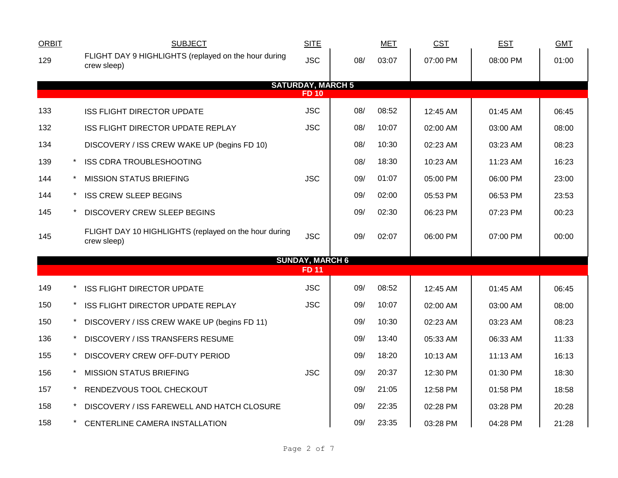| <b>ORBIT</b>                             |  | <b>SUBJECT</b>                                                       | <b>SITE</b>            |     | <b>MET</b> | <b>CST</b> | <b>EST</b> | <b>GMT</b> |  |  |
|------------------------------------------|--|----------------------------------------------------------------------|------------------------|-----|------------|------------|------------|------------|--|--|
| 129                                      |  | FLIGHT DAY 9 HIGHLIGHTS (replayed on the hour during<br>crew sleep)  | <b>JSC</b>             | 08/ | 03:07      | 07:00 PM   | 08:00 PM   | 01:00      |  |  |
|                                          |  |                                                                      |                        |     |            |            |            |            |  |  |
| <b>SATURDAY, MARCH 5</b><br><b>FD 10</b> |  |                                                                      |                        |     |            |            |            |            |  |  |
| 133                                      |  | <b>ISS FLIGHT DIRECTOR UPDATE</b>                                    | <b>JSC</b>             | 08/ | 08:52      | 12:45 AM   | 01:45 AM   | 06:45      |  |  |
| 132                                      |  | <b>ISS FLIGHT DIRECTOR UPDATE REPLAY</b>                             | <b>JSC</b>             | 08/ | 10:07      | 02:00 AM   | 03:00 AM   | 08:00      |  |  |
| 134                                      |  | DISCOVERY / ISS CREW WAKE UP (begins FD 10)                          |                        | 08/ | 10:30      | 02:23 AM   | 03:23 AM   | 08:23      |  |  |
| 139                                      |  | <b>ISS CDRA TROUBLESHOOTING</b>                                      |                        | 08/ | 18:30      | 10:23 AM   | 11:23 AM   | 16:23      |  |  |
| 144                                      |  | <b>MISSION STATUS BRIEFING</b>                                       | <b>JSC</b>             | 09/ | 01:07      | 05:00 PM   | 06:00 PM   | 23:00      |  |  |
| 144                                      |  | <b>ISS CREW SLEEP BEGINS</b>                                         |                        | 09/ | 02:00      | 05:53 PM   | 06:53 PM   | 23:53      |  |  |
| 145                                      |  | <b>DISCOVERY CREW SLEEP BEGINS</b>                                   |                        | 09/ | 02:30      | 06:23 PM   | 07:23 PM   | 00:23      |  |  |
| 145                                      |  | FLIGHT DAY 10 HIGHLIGHTS (replayed on the hour during<br>crew sleep) | <b>JSC</b>             | 09/ | 02:07      | 06:00 PM   | 07:00 PM   | 00:00      |  |  |
|                                          |  |                                                                      | <b>SUNDAY, MARCH 6</b> |     |            |            |            |            |  |  |
|                                          |  |                                                                      | <b>FD11</b>            |     |            |            |            |            |  |  |
| 149                                      |  | <b>ISS FLIGHT DIRECTOR UPDATE</b>                                    | <b>JSC</b>             | 09/ | 08:52      | 12:45 AM   | 01:45 AM   | 06:45      |  |  |
| 150                                      |  | ISS FLIGHT DIRECTOR UPDATE REPLAY                                    | <b>JSC</b>             | 09/ | 10:07      | 02:00 AM   | 03:00 AM   | 08:00      |  |  |
| 150                                      |  | DISCOVERY / ISS CREW WAKE UP (begins FD 11)                          |                        | 09/ | 10:30      | 02:23 AM   | 03:23 AM   | 08:23      |  |  |
| 136                                      |  | DISCOVERY / ISS TRANSFERS RESUME                                     |                        | 09/ | 13:40      | 05:33 AM   | 06:33 AM   | 11:33      |  |  |
| 155                                      |  | DISCOVERY CREW OFF-DUTY PERIOD                                       |                        | 09/ | 18:20      | 10:13 AM   | 11:13 AM   | 16:13      |  |  |
| 156                                      |  | <b>MISSION STATUS BRIEFING</b>                                       | <b>JSC</b>             | 09/ | 20:37      | 12:30 PM   | 01:30 PM   | 18:30      |  |  |
| 157                                      |  | RENDEZVOUS TOOL CHECKOUT                                             |                        | 09/ | 21:05      | 12:58 PM   | 01:58 PM   | 18:58      |  |  |
| 158                                      |  | DISCOVERY / ISS FAREWELL AND HATCH CLOSURE                           |                        | 09/ | 22:35      | 02:28 PM   | 03:28 PM   | 20:28      |  |  |
| 158                                      |  | CENTERLINE CAMERA INSTALLATION                                       |                        | 09/ | 23:35      | 03:28 PM   | 04:28 PM   | 21:28      |  |  |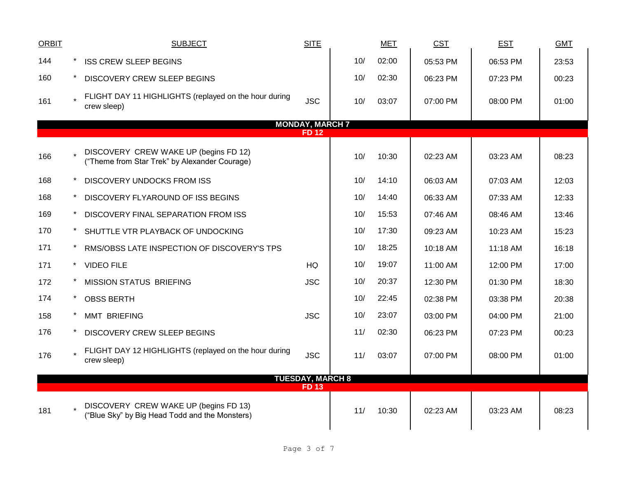| <b>ORBIT</b> | <b>SUBJECT</b>                                                                          | <b>SITE</b>             |     | <b>MET</b> | <b>CST</b> | <b>EST</b> | <b>GMT</b> |
|--------------|-----------------------------------------------------------------------------------------|-------------------------|-----|------------|------------|------------|------------|
| 144          | <b>ISS CREW SLEEP BEGINS</b>                                                            |                         | 10/ | 02:00      | 05:53 PM   | 06:53 PM   | 23:53      |
| 160          | DISCOVERY CREW SLEEP BEGINS                                                             |                         | 10/ | 02:30      | 06:23 PM   | 07:23 PM   | 00:23      |
| 161          | FLIGHT DAY 11 HIGHLIGHTS (replayed on the hour during<br>crew sleep)                    | <b>JSC</b>              | 10/ | 03:07      | 07:00 PM   | 08:00 PM   | 01:00      |
|              |                                                                                         | <b>MONDAY, MARCH 7</b>  |     |            |            |            |            |
|              |                                                                                         | <b>FD12</b>             |     |            |            |            |            |
| 166          | DISCOVERY CREW WAKE UP (begins FD 12)<br>("Theme from Star Trek" by Alexander Courage)  |                         | 10/ | 10:30      | 02:23 AM   | 03:23 AM   | 08:23      |
| 168          | <b>DISCOVERY UNDOCKS FROM ISS</b>                                                       |                         | 10/ | 14:10      | 06:03 AM   | 07:03 AM   | 12:03      |
| 168          | DISCOVERY FLYAROUND OF ISS BEGINS                                                       |                         | 10/ | 14:40      | 06:33 AM   | 07:33 AM   | 12:33      |
| 169          | DISCOVERY FINAL SEPARATION FROM ISS                                                     |                         | 10/ | 15:53      | 07:46 AM   | 08:46 AM   | 13:46      |
| 170          | SHUTTLE VTR PLAYBACK OF UNDOCKING                                                       |                         | 10/ | 17:30      | 09:23 AM   | 10:23 AM   | 15:23      |
| 171          | RMS/OBSS LATE INSPECTION OF DISCOVERY'S TPS                                             |                         | 10/ | 18:25      | 10:18 AM   | 11:18 AM   | 16:18      |
| 171          | <b>VIDEO FILE</b>                                                                       | HQ                      | 10/ | 19:07      | 11:00 AM   | 12:00 PM   | 17:00      |
| 172          | <b>MISSION STATUS BRIEFING</b>                                                          | <b>JSC</b>              | 10/ | 20:37      | 12:30 PM   | 01:30 PM   | 18:30      |
| 174          | <b>OBSS BERTH</b>                                                                       |                         | 10/ | 22:45      | 02:38 PM   | 03:38 PM   | 20:38      |
| 158          | <b>MMT BRIEFING</b>                                                                     | <b>JSC</b>              | 10/ | 23:07      | 03:00 PM   | 04:00 PM   | 21:00      |
| 176          | DISCOVERY CREW SLEEP BEGINS                                                             |                         | 11/ | 02:30      | 06:23 PM   | 07:23 PM   | 00:23      |
| 176          | FLIGHT DAY 12 HIGHLIGHTS (replayed on the hour during<br>crew sleep)                    | <b>JSC</b>              | 11/ | 03:07      | 07:00 PM   | 08:00 PM   | 01:00      |
|              |                                                                                         | <b>TUESDAY, MARCH 8</b> |     |            |            |            |            |
|              |                                                                                         | <b>FD13</b>             |     |            |            |            |            |
| 181          | DISCOVERY CREW WAKE UP (begins FD 13)<br>("Blue Sky" by Big Head Todd and the Monsters) |                         | 11/ | 10:30      | 02:23 AM   | 03:23 AM   | 08:23      |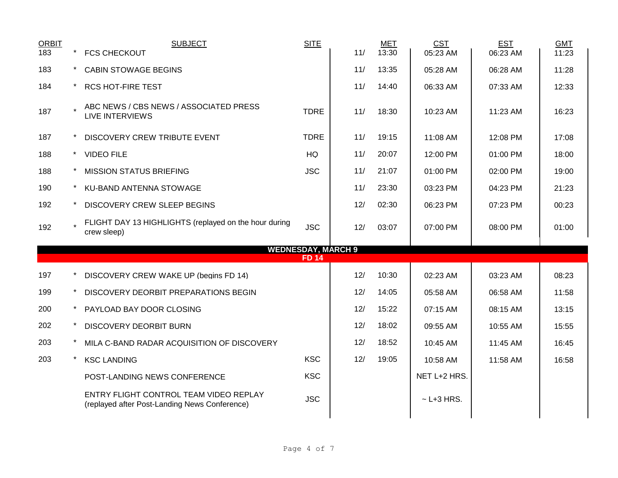| <b>ORBIT</b> | <b>SUBJECT</b>                                                                          | <b>SITE</b>  |     | <b>MET</b> | <b>CST</b>      | <b>EST</b> | <b>GMT</b> |  |
|--------------|-----------------------------------------------------------------------------------------|--------------|-----|------------|-----------------|------------|------------|--|
| 183          | <b>FCS CHECKOUT</b>                                                                     |              | 11/ | 13:30      | 05:23 AM        | 06:23 AM   | 11:23      |  |
| 183          | <b>CABIN STOWAGE BEGINS</b>                                                             |              | 11/ | 13:35      | 05:28 AM        | 06:28 AM   | 11:28      |  |
| 184          | <b>RCS HOT-FIRE TEST</b>                                                                |              | 11/ | 14:40      | 06:33 AM        | 07:33 AM   | 12:33      |  |
| 187          | ABC NEWS / CBS NEWS / ASSOCIATED PRESS<br><b>LIVE INTERVIEWS</b>                        | <b>TDRE</b>  | 11/ | 18:30      | 10:23 AM        | 11:23 AM   | 16:23      |  |
| 187          | DISCOVERY CREW TRIBUTE EVENT                                                            | <b>TDRE</b>  | 11/ | 19:15      | 11:08 AM        | 12:08 PM   | 17:08      |  |
| 188          | <b>VIDEO FILE</b>                                                                       | <b>HQ</b>    | 11/ | 20:07      | 12:00 PM        | 01:00 PM   | 18:00      |  |
| 188          | <b>MISSION STATUS BRIEFING</b>                                                          | <b>JSC</b>   | 11/ | 21:07      | 01:00 PM        | 02:00 PM   | 19:00      |  |
| 190          | KU-BAND ANTENNA STOWAGE                                                                 |              | 11/ | 23:30      | 03:23 PM        | 04:23 PM   | 21:23      |  |
| 192          | DISCOVERY CREW SLEEP BEGINS                                                             |              | 12/ | 02:30      | 06:23 PM        | 07:23 PM   | 00:23      |  |
| 192          | FLIGHT DAY 13 HIGHLIGHTS (replayed on the hour during<br>crew sleep)                    | <b>JSC</b>   | 12/ | 03:07      | 07:00 PM        | 08:00 PM   | 01:00      |  |
|              | <b>WEDNESDAY, MARCH 9</b>                                                               |              |     |            |                 |            |            |  |
|              |                                                                                         | <b>FD 14</b> |     |            |                 |            |            |  |
| 197          | DISCOVERY CREW WAKE UP (begins FD 14)                                                   |              | 12/ | 10:30      | 02:23 AM        | 03:23 AM   | 08:23      |  |
| 199          | DISCOVERY DEORBIT PREPARATIONS BEGIN                                                    |              | 12/ | 14:05      | 05:58 AM        | 06:58 AM   | 11:58      |  |
| 200          | PAYLOAD BAY DOOR CLOSING                                                                |              | 12/ | 15:22      | 07:15 AM        | 08:15 AM   | 13:15      |  |
| 202          | <b>DISCOVERY DEORBIT BURN</b>                                                           |              | 12/ | 18:02      | 09:55 AM        | 10:55 AM   | 15:55      |  |
| 203          | MILA C-BAND RADAR ACQUISITION OF DISCOVERY                                              |              | 12/ | 18:52      | 10:45 AM        | 11:45 AM   | 16:45      |  |
| 203          | <b>KSC LANDING</b>                                                                      | <b>KSC</b>   | 12/ | 19:05      | 10:58 AM        | 11:58 AM   | 16:58      |  |
|              | POST-LANDING NEWS CONFERENCE                                                            | <b>KSC</b>   |     |            | NET L+2 HRS.    |            |            |  |
|              | ENTRY FLIGHT CONTROL TEAM VIDEO REPLAY<br>(replayed after Post-Landing News Conference) | <b>JSC</b>   |     |            | $\sim$ L+3 HRS. |            |            |  |
|              |                                                                                         |              |     |            |                 |            |            |  |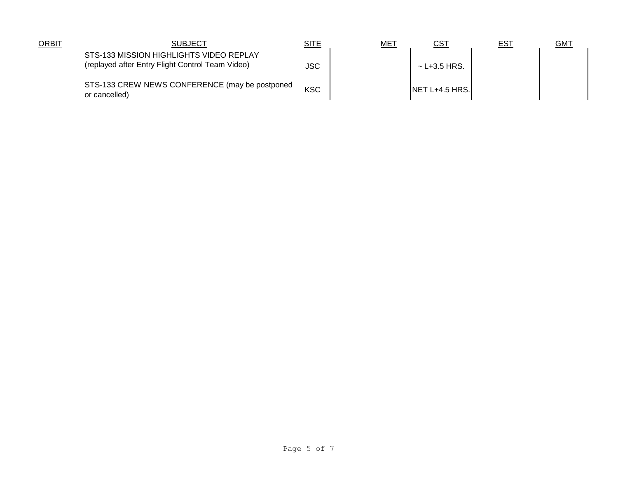| <b>ORBIT</b> | <b>SUBJECT</b>                                                                              | <u>SITE</u> | <u>ME1</u> | <u>CST</u>        | <u>EST</u> | <u>GMT</u> |
|--------------|---------------------------------------------------------------------------------------------|-------------|------------|-------------------|------------|------------|
|              | STS-133 MISSION HIGHLIGHTS VIDEO REPLAY<br>(replayed after Entry Flight Control Team Video) | <b>JSC</b>  |            | $\sim$ L+3.5 HRS. |            |            |
|              | STS-133 CREW NEWS CONFERENCE (may be postponed<br>or cancelled)                             | <b>KSC</b>  |            | $NET L+4.5 HRS.$  |            |            |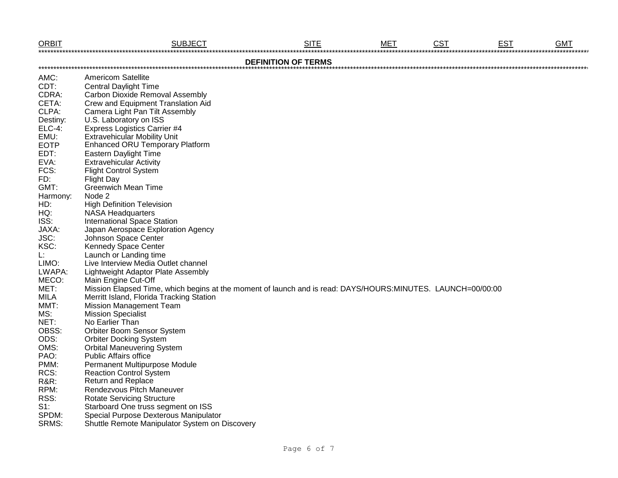| <b>ORBIT</b>    | <b>SUBJECT</b>                                                                                              | <b>SITE</b>                | <b>MET</b> | <b>CST</b> | <b>EST</b> | <b>GMT</b> |
|-----------------|-------------------------------------------------------------------------------------------------------------|----------------------------|------------|------------|------------|------------|
|                 |                                                                                                             | <b>DEFINITION OF TERMS</b> |            |            |            |            |
| AMC:            | Americom Satellite                                                                                          |                            |            |            |            |            |
| CDT:            | <b>Central Daylight Time</b>                                                                                |                            |            |            |            |            |
| CDRA:           | <b>Carbon Dioxide Removal Assembly</b>                                                                      |                            |            |            |            |            |
| CETA:           | Crew and Equipment Translation Aid                                                                          |                            |            |            |            |            |
| CLPA:           | Camera Light Pan Tilt Assembly                                                                              |                            |            |            |            |            |
| Destiny:        | U.S. Laboratory on ISS                                                                                      |                            |            |            |            |            |
| $ELC-4$ :       | <b>Express Logistics Carrier #4</b>                                                                         |                            |            |            |            |            |
| EMU:            | <b>Extravehicular Mobility Unit</b>                                                                         |                            |            |            |            |            |
| <b>EOTP</b>     | <b>Enhanced ORU Temporary Platform</b>                                                                      |                            |            |            |            |            |
| EDT:            | <b>Eastern Daylight Time</b>                                                                                |                            |            |            |            |            |
| EVA:            | <b>Extravehicular Activity</b>                                                                              |                            |            |            |            |            |
| FCS:            | <b>Flight Control System</b>                                                                                |                            |            |            |            |            |
| FD:             | <b>Flight Day</b>                                                                                           |                            |            |            |            |            |
| GMT:            | <b>Greenwich Mean Time</b>                                                                                  |                            |            |            |            |            |
| Harmony:        | Node 2                                                                                                      |                            |            |            |            |            |
| HD:             | <b>High Definition Television</b>                                                                           |                            |            |            |            |            |
| HQ:             | <b>NASA Headquarters</b>                                                                                    |                            |            |            |            |            |
| ISS:            | <b>International Space Station</b>                                                                          |                            |            |            |            |            |
| JAXA:           | Japan Aerospace Exploration Agency                                                                          |                            |            |            |            |            |
| JSC:            | Johnson Space Center                                                                                        |                            |            |            |            |            |
| KSC:            | <b>Kennedy Space Center</b>                                                                                 |                            |            |            |            |            |
| L:              | Launch or Landing time                                                                                      |                            |            |            |            |            |
| LIMO:           | Live Interview Media Outlet channel                                                                         |                            |            |            |            |            |
| LWAPA:          | Lightweight Adaptor Plate Assembly                                                                          |                            |            |            |            |            |
| MECO:           | Main Engine Cut-Off                                                                                         |                            |            |            |            |            |
| MET:            | Mission Elapsed Time, which begins at the moment of launch and is read: DAYS/HOURS:MINUTES. LAUNCH=00/00:00 |                            |            |            |            |            |
| <b>MILA</b>     | Merritt Island, Florida Tracking Station                                                                    |                            |            |            |            |            |
| MMT:            | <b>Mission Management Team</b>                                                                              |                            |            |            |            |            |
| MS:             | <b>Mission Specialist</b>                                                                                   |                            |            |            |            |            |
| NET:            | No Earlier Than                                                                                             |                            |            |            |            |            |
| OBSS:           | Orbiter Boom Sensor System                                                                                  |                            |            |            |            |            |
| ODS:            | <b>Orbiter Docking System</b>                                                                               |                            |            |            |            |            |
| OMS:            | <b>Orbital Maneuvering System</b>                                                                           |                            |            |            |            |            |
| PAO:            | <b>Public Affairs office</b>                                                                                |                            |            |            |            |            |
| PMM:            | <b>Permanent Multipurpose Module</b>                                                                        |                            |            |            |            |            |
| RCS:            | <b>Reaction Control System</b>                                                                              |                            |            |            |            |            |
| <b>R&amp;R:</b> | <b>Return and Replace</b>                                                                                   |                            |            |            |            |            |
| RPM:            | Rendezvous Pitch Maneuver                                                                                   |                            |            |            |            |            |
| RSS:            | <b>Rotate Servicing Structure</b>                                                                           |                            |            |            |            |            |
| $S1$ :          | Starboard One truss segment on ISS                                                                          |                            |            |            |            |            |
| SPDM:           | Special Purpose Dexterous Manipulator                                                                       |                            |            |            |            |            |
| SRMS:           | Shuttle Remote Manipulator System on Discovery                                                              |                            |            |            |            |            |